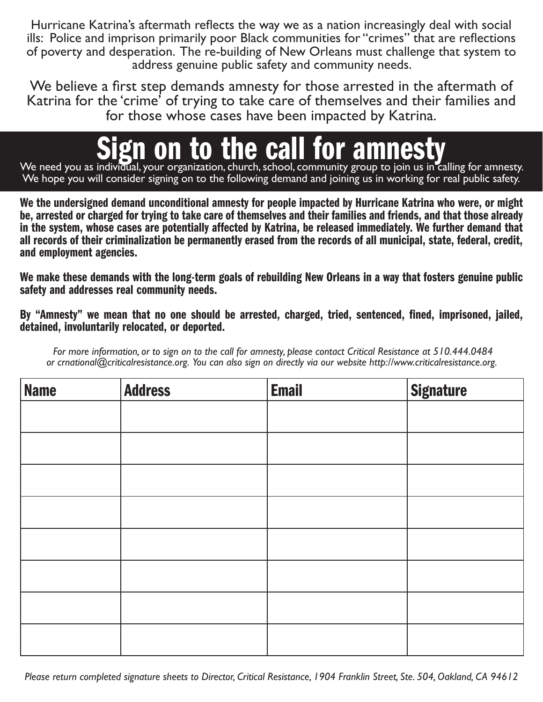Hurricane Katrina's aftermath reflects the way we as a nation increasingly deal with social ills: Police and imprison primarily poor Black communities for "crimes" that are reflections of poverty and desperation. The re-building of New Orleans must challenge that system to address genuine public safety and community needs.

We believe a first step demands amnesty for those arrested in the aftermath of Katrina for the 'crime' of trying to take care of themselves and their families and for those whose cases have been impacted by Katrina.

## We need you as individual, your organization, church, school, community group to join us in calling for amnesty.

We hope you will consider signing on to the following demand and joining us in working for real public safety.

We the undersigned demand unconditional amnesty for people impacted by Hurricane Katrina who were, or might be, arrested or charged for trying to take care of themselves and their families and friends, and that those already in the system, whose cases are potentially affected by Katrina, be released immediately. We further demand that all records of their criminalization be permanently erased from the records of all municipal, state, federal, credit, and employment agencies.

We make these demands with the long-term goals of rebuilding New Orleans in a way that fosters genuine public safety and addresses real community needs.

By "Amnesty" we mean that no one should be arrested, charged, tried, sentenced, fined, imprisoned, jailed, detained, involuntarily relocated, or deported.

*For more information, or to sign on to the call for amnesty, please contact Critical Resistance at 510.444.0484 or crnational@criticalresistance.org. You can also sign on directly via our website http://www.criticalresistance.org.*

| <b>Name</b> | <b>Address</b> | <b>Email</b> | <b>Signature</b> |
|-------------|----------------|--------------|------------------|
|             |                |              |                  |
|             |                |              |                  |
|             |                |              |                  |
|             |                |              |                  |
|             |                |              |                  |
|             |                |              |                  |
|             |                |              |                  |
|             |                |              |                  |

*Please return completed signature sheets to Director, Critical Resistance, 1904 Franklin Street, Ste. 504, Oakland, CA 94612*